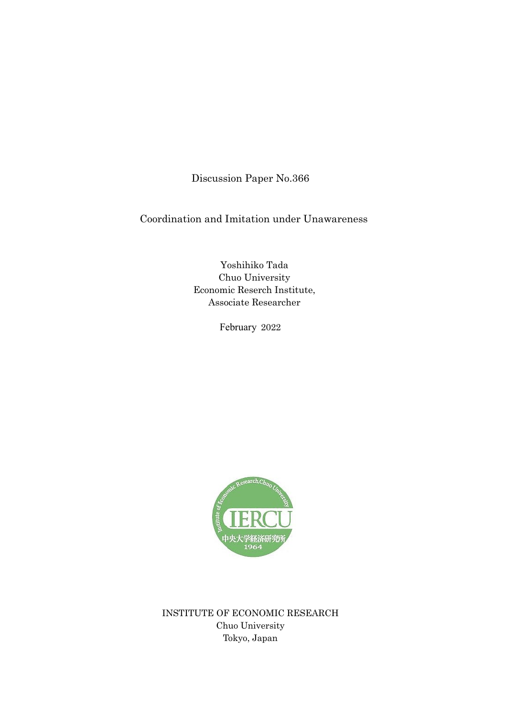Discussion Paper No.366

Coordination and Imitation under Unawareness

Yoshihiko Tada Chuo University Economic Reserch Institute, Associate Researcher

February 2022



INSTITUTE OF ECONOMIC RESEARCH Chuo University Tokyo, Japan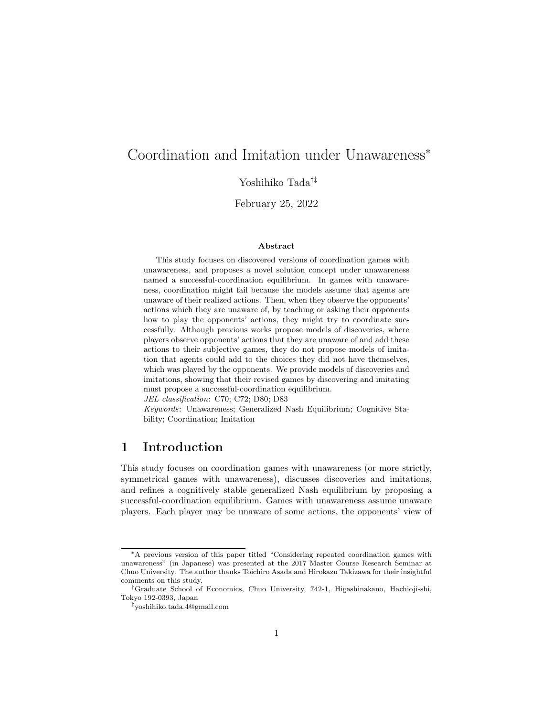# Coordination and Imitation under Unawareness*<sup>∗</sup>*

Yoshihiko Tada*†‡*

February 25, 2022

#### **Abstract**

This study focuses on discovered versions of coordination games with unawareness, and proposes a novel solution concept under unawareness named a successful-coordination equilibrium. In games with unawareness, coordination might fail because the models assume that agents are unaware of their realized actions. Then, when they observe the opponents' actions which they are unaware of, by teaching or asking their opponents how to play the opponents' actions, they might try to coordinate successfully. Although previous works propose models of discoveries, where players observe opponents' actions that they are unaware of and add these actions to their subjective games, they do not propose models of imitation that agents could add to the choices they did not have themselves, which was played by the opponents. We provide models of discoveries and imitations, showing that their revised games by discovering and imitating must propose a successful-coordination equilibrium.

*JEL classification*: C70; C72; D80; D83

*Keywords*: Unawareness; Generalized Nash Equilibrium; Cognitive Stability; Coordination; Imitation

## **1 Introduction**

This study focuses on coordination games with unawareness (or more strictly, symmetrical games with unawareness), discusses discoveries and imitations, and refines a cognitively stable generalized Nash equilibrium by proposing a successful-coordination equilibrium. Games with unawareness assume unaware players. Each player may be unaware of some actions, the opponents' view of

*<sup>∗</sup>*A previous version of this paper titled "Considering repeated coordination games with unawareness" (in Japanese) was presented at the 2017 Master Course Research Seminar at Chuo University. The author thanks Toichiro Asada and Hirokazu Takizawa for their insightful comments on this study.

*<sup>†</sup>*Graduate School of Economics, Chuo University, 742-1, Higashinakano, Hachioji-shi, Tokyo 192-0393, Japan

*<sup>‡</sup>*yoshihiko.tada.4@gmail.com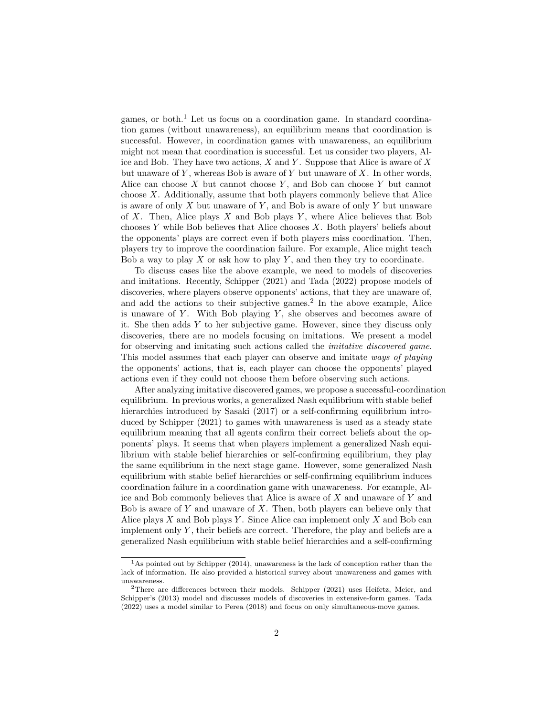games, or both.<sup>1</sup> Let us focus on a coordination game. In standard coordination games (without unawareness), an equilibrium means that coordination is successful. However, in coordination games with unawareness, an equilibrium might not mean that coordination is successful. Let us consider two players, Alice and Bob. They have two actions, *X* and *Y* . Suppose that Alice is aware of *X* but unaware of *Y* , whereas Bob is aware of *Y* but unaware of *X*. In other words, Alice can choose *X* but cannot choose *Y* , and Bob can choose *Y* but cannot choose *X*. Additionally, assume that both players commonly believe that Alice is aware of only *X* but unaware of *Y* , and Bob is aware of only *Y* but unaware of *X*. Then, Alice plays *X* and Bob plays *Y* , where Alice believes that Bob chooses *Y* while Bob believes that Alice chooses *X*. Both players' beliefs about the opponents' plays are correct even if both players miss coordination. Then, players try to improve the coordination failure. For example, Alice might teach Bob a way to play *X* or ask how to play *Y* , and then they try to coordinate.

To discuss cases like the above example, we need to models of discoveries and imitations. Recently, Schipper (2021) and Tada (2022) propose models of discoveries, where players observe opponents' actions, that they are unaware of, and add the actions to their subjective games.<sup>2</sup> In the above example, Alice is unaware of *Y* . With Bob playing *Y* , she observes and becomes aware of it. She then adds *Y* to her subjective game. However, since they discuss only discoveries, there are no models focusing on imitations. We present a model for observing and imitating such actions called the *imitative discovered game*. This model assumes that each player can observe and imitate *ways of playing* the opponents' actions, that is, each player can choose the opponents' played actions even if they could not choose them before observing such actions.

After analyzing imitative discovered games, we propose a successful-coordination equilibrium. In previous works, a generalized Nash equilibrium with stable belief hierarchies introduced by Sasaki (2017) or a self-confirming equilibrium introduced by Schipper (2021) to games with unawareness is used as a steady state equilibrium meaning that all agents confirm their correct beliefs about the opponents' plays. It seems that when players implement a generalized Nash equilibrium with stable belief hierarchies or self-confirming equilibrium, they play the same equilibrium in the next stage game. However, some generalized Nash equilibrium with stable belief hierarchies or self-confirming equilibrium induces coordination failure in a coordination game with unawareness. For example, Alice and Bob commonly believes that Alice is aware of *X* and unaware of *Y* and Bob is aware of *Y* and unaware of *X*. Then, both players can believe only that Alice plays *X* and Bob plays *Y* . Since Alice can implement only *X* and Bob can implement only *Y* , their beliefs are correct. Therefore, the play and beliefs are a generalized Nash equilibrium with stable belief hierarchies and a self-confirming

 $<sup>1</sup>$ As pointed out by Schipper (2014), unawareness is the lack of conception rather than the</sup> lack of information. He also provided a historical survey about unawareness and games with unawareness.

<sup>2</sup>There are differences between their models. Schipper (2021) uses Heifetz, Meier, and Schipper's (2013) model and discusses models of discoveries in extensive-form games. Tada (2022) uses a model similar to Perea (2018) and focus on only simultaneous-move games.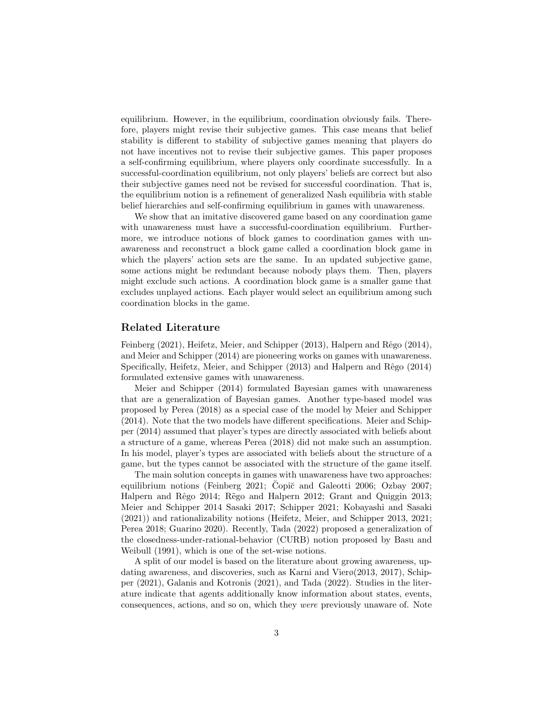equilibrium. However, in the equilibrium, coordination obviously fails. Therefore, players might revise their subjective games. This case means that belief stability is different to stability of subjective games meaning that players do not have incentives not to revise their subjective games. This paper proposes a self-confirming equilibrium, where players only coordinate successfully. In a successful-coordination equilibrium, not only players' beliefs are correct but also their subjective games need not be revised for successful coordination. That is, the equilibrium notion is a refinement of generalized Nash equilibria with stable belief hierarchies and self-confirming equilibrium in games with unawareness.

We show that an imitative discovered game based on any coordination game with unawareness must have a successful-coordination equilibrium. Furthermore, we introduce notions of block games to coordination games with unawareness and reconstruct a block game called a coordination block game in which the players' action sets are the same. In an updated subjective game, some actions might be redundant because nobody plays them. Then, players might exclude such actions. A coordination block game is a smaller game that excludes unplayed actions. Each player would select an equilibrium among such coordination blocks in the game.

#### **Related Literature**

Feinberg (2021), Heifetz, Meier, and Schipper (2013), Halpern and Rêgo (2014), and Meier and Schipper (2014) are pioneering works on games with unawareness. Specifically, Heifetz, Meier, and Schipper (2013) and Halpern and Rêgo (2014) formulated extensive games with unawareness.

Meier and Schipper (2014) formulated Bayesian games with unawareness that are a generalization of Bayesian games. Another type-based model was proposed by Perea (2018) as a special case of the model by Meier and Schipper (2014). Note that the two models have different specifications. Meier and Schipper (2014) assumed that player's types are directly associated with beliefs about a structure of a game, whereas Perea (2018) did not make such an assumption. In his model, player's types are associated with beliefs about the structure of a game, but the types cannot be associated with the structure of the game itself.

The main solution concepts in games with unawareness have two approaches: equilibrium notions (Feinberg 2021; Copič and Galeotti 2006; Ozbay 2007; Halpern and Rêgo 2014; Rego and Halpern 2012; Grant and Quiggin 2013; Meier and Schipper 2014 Sasaki 2017; Schipper 2021; Kobayashi and Sasaki (2021)) and rationalizability notions (Heifetz, Meier, and Schipper 2013, 2021; Perea 2018; Guarino 2020). Recently, Tada (2022) proposed a generalization of the closedness-under-rational-behavior (CURB) notion proposed by Basu and Weibull (1991), which is one of the set-wise notions.

A split of our model is based on the literature about growing awareness, updating awareness, and discoveries, such as Karni and Vierø(2013, 2017), Schipper (2021), Galanis and Kotronis (2021), and Tada (2022). Studies in the literature indicate that agents additionally know information about states, events, consequences, actions, and so on, which they *were* previously unaware of. Note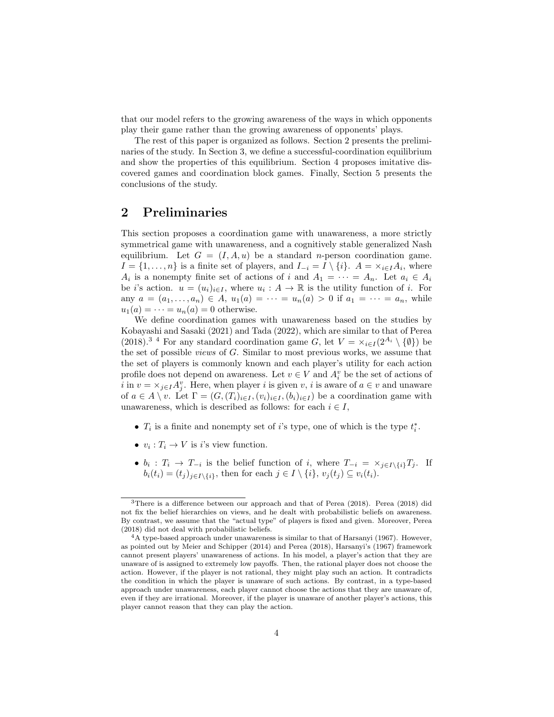that our model refers to the growing awareness of the ways in which opponents play their game rather than the growing awareness of opponents' plays.

The rest of this paper is organized as follows. Section 2 presents the preliminaries of the study. In Section 3, we define a successful-coordination equilibrium and show the properties of this equilibrium. Section 4 proposes imitative discovered games and coordination block games. Finally, Section 5 presents the conclusions of the study.

#### **2 Preliminaries**

This section proposes a coordination game with unawareness, a more strictly symmetrical game with unawareness, and a cognitively stable generalized Nash equilibrium. Let  $G = (I, A, u)$  be a standard *n*-person coordination game. *I* = {1, . . . , *n*} is a finite set of players, and  $I_{-i} = I \setminus \{i\}$ . *A* =  $\times_{i \in I} A_i$ , where *A*<sup>*i*</sup> is a nonempty finite set of actions of *i* and  $A_1 = \cdots = A_n$ . Let  $a_i \in A_i$ be *i*'s action.  $u = (u_i)_{i \in I}$ , where  $u_i : A \to \mathbb{R}$  is the utility function of *i*. For any  $a = (a_1, \ldots, a_n) \in A$ ,  $u_1(a) = \cdots = u_n(a) > 0$  if  $a_1 = \cdots = a_n$ , while  $u_1(a) = \cdots = u_n(a) = 0$  otherwise.

We define coordination games with unawareness based on the studies by Kobayashi and Sasaki (2021) and Tada (2022), which are similar to that of Perea  $(2018)^{3}$ <sup>4</sup> For any standard coordination game *G*, let  $V = \times_{i \in I} (2^{A_i} \setminus {\emptyset})$  be the set of possible *views* of *G*. Similar to most previous works, we assume that the set of players is commonly known and each player's utility for each action profile does not depend on awareness. Let  $v \in V$  and  $A_i^v$  be the set of actions of *i* in  $v = \times_{j \in I} A_j^v$ . Here, when player *i* is given *v*, *i* is aware of  $a \in v$  and unaware of  $a \in A \setminus v$ . Let  $\Gamma = (G, (T_i)_{i \in I}, (v_i)_{i \in I}, (b_i)_{i \in I})$  be a coordination game with unawareness, which is described as follows: for each  $i \in I$ ,

- *• T<sup>i</sup>* is a finite and nonempty set of *i*'s type, one of which is the type *t ∗ i* .
- $v_i: T_i \to V$  is *i*'s view function.
- $b_i: T_i \to T_{-i}$  is the belief function of i, where  $T_{-i} = \times_{j \in I \setminus \{i\}} T_j$ . If  $b_i(t_i) = (t_i)_{i \in I \setminus \{i\}},$  then for each  $j \in I \setminus \{i\}, v_i(t_i) \subseteq v_i(t_i).$

<sup>3</sup>There is a difference between our approach and that of Perea (2018). Perea (2018) did not fix the belief hierarchies on views, and he dealt with probabilistic beliefs on awareness. By contrast, we assume that the "actual type" of players is fixed and given. Moreover, Perea (2018) did not deal with probabilistic beliefs.

 $4A$  type-based approach under unawareness is similar to that of Harsanyi (1967). However, as pointed out by Meier and Schipper (2014) and Perea (2018), Harsanyi's (1967) framework cannot present players' unawareness of actions. In his model, a player's action that they are unaware of is assigned to extremely low payoffs. Then, the rational player does not choose the action. However, if the player is not rational, they might play such an action. It contradicts the condition in which the player is unaware of such actions. By contrast, in a type-based approach under unawareness, each player cannot choose the actions that they are unaware of, even if they are irrational. Moreover, if the player is unaware of another player's actions, this player cannot reason that they can play the action.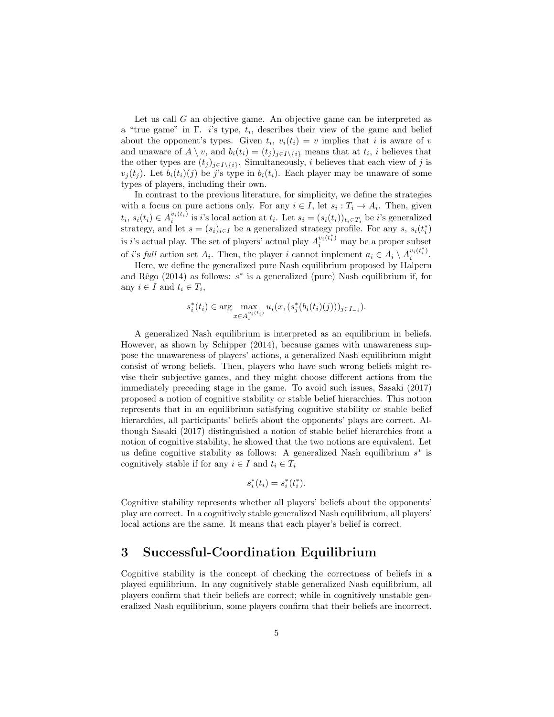Let us call *G* an objective game. An objective game can be interpreted as a "true game" in Γ. *i*'s type, *t<sup>i</sup>* , describes their view of the game and belief about the opponent's types. Given  $t_i$ ,  $v_i(t_i) = v$  implies that *i* is aware of *v* and unaware of  $A \setminus v$ , and  $b_i(t_i) = (t_j)_{j \in I \setminus \{i\}}$  means that at  $t_i$ , *i* believes that the other types are  $(t_j)_{j \in I \setminus \{i\}}$ . Simultaneously, *i* believes that each view of *j* is  $v_i(t_i)$ . Let  $b_i(t_i)(j)$  be *j*'s type in  $b_i(t_i)$ . Each player may be unaware of some types of players, including their own.

In contrast to the previous literature, for simplicity, we define the strategies with a focus on pure actions only. For any  $i \in I$ , let  $s_i : T_i \to A_i$ . Then, given  $t_i, s_i(t_i) \in A_i^{v_i(t_i)}$  is *i*'s local action at  $t_i$ . Let  $s_i = (s_i(t_i))_{t_i \in T_i}$  be *i*'s generalized strategy, and let  $s = (s_i)_{i \in I}$  be a generalized strategy profile. For any  $s, s_i(t_i^*)$ is *i*'s actual play. The set of players' actual play  $A_i^{v_i(t_i^*)}$  may be a proper subset of *i*'s full action set  $A_i$ . Then, the player *i* cannot implement  $a_i \in A_i \setminus A_i^{v_i(t_i^*)}$  $\frac{v_i(t_i)}{i}$ .

Here, we define the generalized pure Nash equilibrium proposed by Halpern and Rêgo (2014) as follows:  $s^*$  is a generalized (pure) Nash equilibrium if, for any  $i \in I$  and  $t_i \in T_i$ ,

$$
s_i^*(t_i) \in \arg\max_{x \in A_i^{v_i(t_i)}} u_i(x, (s_j^*(b_i(t_i)(j)))_{j \in I_{-i}}).
$$

A generalized Nash equilibrium is interpreted as an equilibrium in beliefs. However, as shown by Schipper (2014), because games with unawareness suppose the unawareness of players' actions, a generalized Nash equilibrium might consist of wrong beliefs. Then, players who have such wrong beliefs might revise their subjective games, and they might choose different actions from the immediately preceding stage in the game. To avoid such issues, Sasaki (2017) proposed a notion of cognitive stability or stable belief hierarchies. This notion represents that in an equilibrium satisfying cognitive stability or stable belief hierarchies, all participants' beliefs about the opponents' plays are correct. Although Sasaki (2017) distinguished a notion of stable belief hierarchies from a notion of cognitive stability, he showed that the two notions are equivalent. Let us define cognitive stability as follows: A generalized Nash equilibrium *s ∗* is cognitively stable if for any  $i \in I$  and  $t_i \in T_i$ 

$$
s_i^*(t_i) = s_i^*(t_i^*).
$$

Cognitive stability represents whether all players' beliefs about the opponents' play are correct. In a cognitively stable generalized Nash equilibrium, all players' local actions are the same. It means that each player's belief is correct.

#### **3 Successful-Coordination Equilibrium**

Cognitive stability is the concept of checking the correctness of beliefs in a played equilibrium. In any cognitively stable generalized Nash equilibrium, all players confirm that their beliefs are correct; while in cognitively unstable generalized Nash equilibrium, some players confirm that their beliefs are incorrect.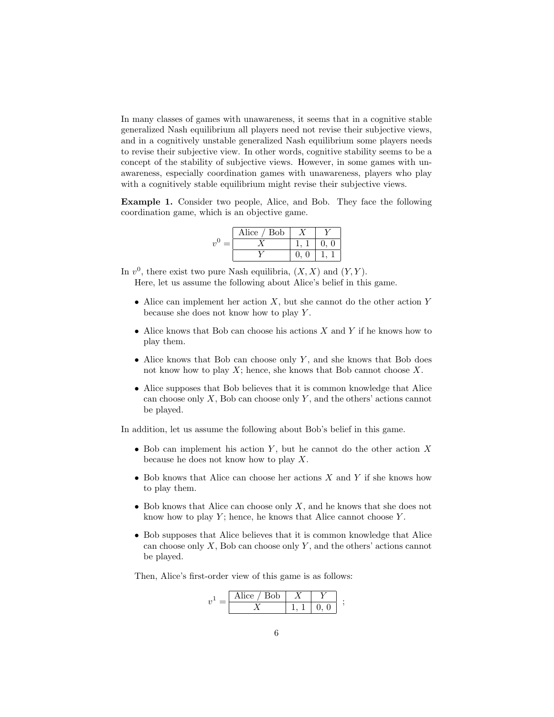In many classes of games with unawareness, it seems that in a cognitive stable generalized Nash equilibrium all players need not revise their subjective views, and in a cognitively unstable generalized Nash equilibrium some players needs to revise their subjective view. In other words, cognitive stability seems to be a concept of the stability of subjective views. However, in some games with unawareness, especially coordination games with unawareness, players who play with a cognitively stable equilibrium might revise their subjective views.

**Example 1.** Consider two people, Alice, and Bob. They face the following coordination game, which is an objective game.

|            | Alice / Bob |  |  |  |
|------------|-------------|--|--|--|
| 2,0<br>$=$ |             |  |  |  |
|            |             |  |  |  |

In  $v^0$ , there exist two pure Nash equilibria,  $(X, X)$  and  $(Y, Y)$ .

Here, let us assume the following about Alice's belief in this game.

- *•* Alice can implement her action *X*, but she cannot do the other action *Y* because she does not know how to play *Y* .
- *•* Alice knows that Bob can choose his actions *X* and *Y* if he knows how to play them.
- *•* Alice knows that Bob can choose only *Y* , and she knows that Bob does not know how to play *X*; hence, she knows that Bob cannot choose *X*.
- *•* Alice supposes that Bob believes that it is common knowledge that Alice can choose only *X*, Bob can choose only *Y* , and the others' actions cannot be played.

In addition, let us assume the following about Bob's belief in this game.

- *•* Bob can implement his action *Y* , but he cannot do the other action *X* because he does not know how to play *X*.
- *•* Bob knows that Alice can choose her actions *X* and *Y* if she knows how to play them.
- *•* Bob knows that Alice can choose only *X*, and he knows that she does not know how to play *Y* ; hence, he knows that Alice cannot choose *Y* .
- Bob supposes that Alice believes that it is common knowledge that Alice can choose only *X*, Bob can choose only *Y* , and the others' actions cannot be played.

Then, Alice's first-order view of this game is as follows:

$$
v^1 = \begin{array}{|c|c|c|c|}\hline \text{Alice / Bob} & X & Y \\ \hline X & 1, 1 & 0, 0 \\ \hline \end{array} ;
$$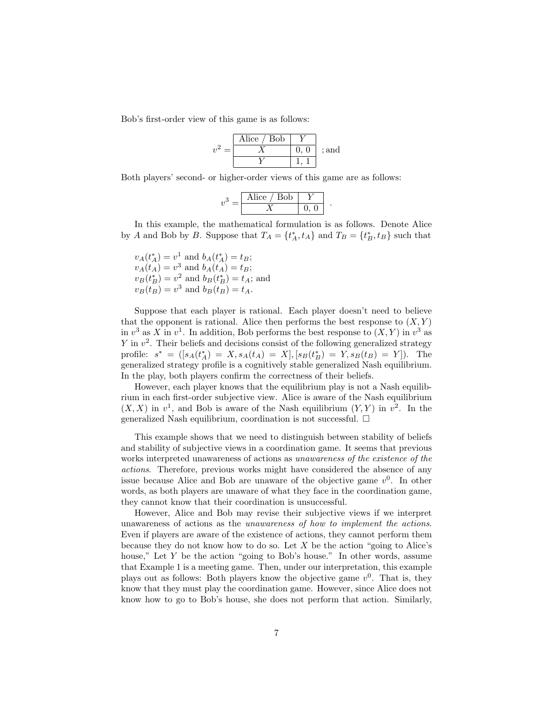Bob's first-order view of this game is as follows:

| Alice $/$ Bob |       |
|---------------|-------|
|               | : and |
|               |       |

Both players' second- or higher-order views of this game are as follows:

$$
v^3 = \begin{array}{|c|c|c|}\n\hline \text{Alice} & \text{Bob} & Y \\
\hline X & 0, 0\n\end{array}.
$$

In this example, the mathematical formulation is as follows. Denote Alice by *A* and Bob by *B*. Suppose that  $T_A = \{t_A^*, t_A\}$  and  $T_B = \{t_B^*, t_B\}$  such that

 $v_A(t_A^*) = v^1$  and  $b_A(t_A^*) = t_B$ ;  $v_A(t_A) = v^3$  and  $b_A(t_A) = t_B$ ;  $v_B(t_B^*) = v^2$  and  $b_B(t_B^*) = t_A$ ; and  $v_B(t_B) = v^3$  and  $b_B(t_B) = t_A$ .

Suppose that each player is rational. Each player doesn't need to believe that the opponent is rational. Alice then performs the best response to  $(X, Y)$ in  $v^3$  as *X* in  $v^1$ . In addition, Bob performs the best response to  $(X, Y)$  in  $v^3$  as *Y* in  $v^2$ . Their beliefs and decisions consist of the following generalized strategy profile:  $s^* = ([s_A(t_A^*) = X, s_A(t_A) = X], [s_B(t_B^*) = Y, s_B(t_B) = Y]).$  The generalized strategy profile is a cognitively stable generalized Nash equilibrium. In the play, both players confirm the correctness of their beliefs.

However, each player knows that the equilibrium play is not a Nash equilibrium in each first-order subjective view. Alice is aware of the Nash equilibrium  $(X, X)$  in  $v<sup>1</sup>$ , and Bob is aware of the Nash equilibrium  $(Y, Y)$  in  $v<sup>2</sup>$ . In the generalized Nash equilibrium, coordination is not successful.  $\square$ 

This example shows that we need to distinguish between stability of beliefs and stability of subjective views in a coordination game. It seems that previous works interpreted unawareness of actions as *unawareness of the existence of the actions*. Therefore, previous works might have considered the absence of any issue because Alice and Bob are unaware of the objective game  $v^0$ . In other words, as both players are unaware of what they face in the coordination game, they cannot know that their coordination is unsuccessful.

However, Alice and Bob may revise their subjective views if we interpret unawareness of actions as the *unawareness of how to implement the actions*. Even if players are aware of the existence of actions, they cannot perform them because they do not know how to do so. Let *X* be the action "going to Alice's house," Let Y be the action "going to Bob's house." In other words, assume that Example 1 is a meeting game. Then, under our interpretation, this example plays out as follows: Both players know the objective game  $v^0$ . That is, they know that they must play the coordination game. However, since Alice does not know how to go to Bob's house, she does not perform that action. Similarly,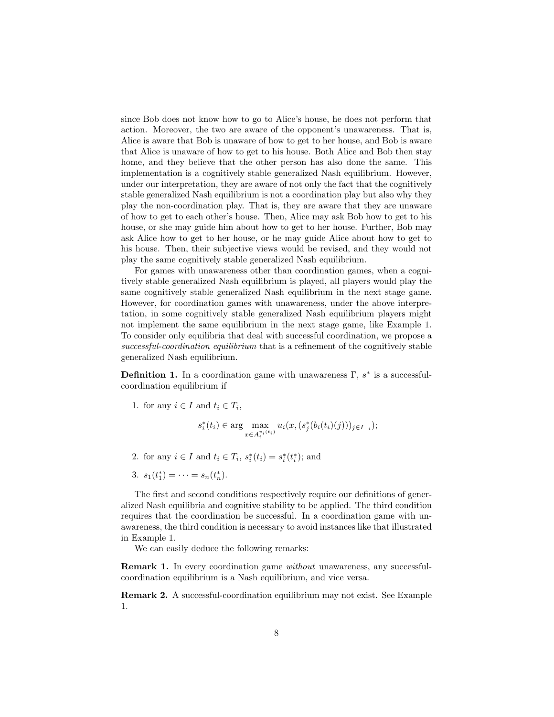since Bob does not know how to go to Alice's house, he does not perform that action. Moreover, the two are aware of the opponent's unawareness. That is, Alice is aware that Bob is unaware of how to get to her house, and Bob is aware that Alice is unaware of how to get to his house. Both Alice and Bob then stay home, and they believe that the other person has also done the same. This implementation is a cognitively stable generalized Nash equilibrium. However, under our interpretation, they are aware of not only the fact that the cognitively stable generalized Nash equilibrium is not a coordination play but also why they play the non-coordination play. That is, they are aware that they are unaware of how to get to each other's house. Then, Alice may ask Bob how to get to his house, or she may guide him about how to get to her house. Further, Bob may ask Alice how to get to her house, or he may guide Alice about how to get to his house. Then, their subjective views would be revised, and they would not play the same cognitively stable generalized Nash equilibrium.

For games with unawareness other than coordination games, when a cognitively stable generalized Nash equilibrium is played, all players would play the same cognitively stable generalized Nash equilibrium in the next stage game. However, for coordination games with unawareness, under the above interpretation, in some cognitively stable generalized Nash equilibrium players might not implement the same equilibrium in the next stage game, like Example 1. To consider only equilibria that deal with successful coordination, we propose a *successful-coordination equilibrium* that is a refinement of the cognitively stable generalized Nash equilibrium.

**Definition 1.** In a coordination game with unawareness  $\Gamma$ ,  $s^*$  is a successfulcoordination equilibrium if

1. for any  $i \in I$  and  $t_i \in T_i$ ,

$$
s_i^*(t_i) \in \arg\max_{x \in A_i^{v_i(t_i)}} u_i(x, (s_j^*(b_i(t_i)(j)))_{j \in I_{-i}});
$$

- 2. for any  $i \in I$  and  $t_i \in T_i$ ,  $s_i^*(t_i) = s_i^*(t_i^*)$ ; and
- 3.  $s_1(t_1^*) = \cdots = s_n(t_n^*)$ .

The first and second conditions respectively require our definitions of generalized Nash equilibria and cognitive stability to be applied. The third condition requires that the coordination be successful. In a coordination game with unawareness, the third condition is necessary to avoid instances like that illustrated in Example 1.

We can easily deduce the following remarks:

**Remark 1.** In every coordination game *without* unawareness, any successfulcoordination equilibrium is a Nash equilibrium, and vice versa.

**Remark 2.** A successful-coordination equilibrium may not exist. See Example 1.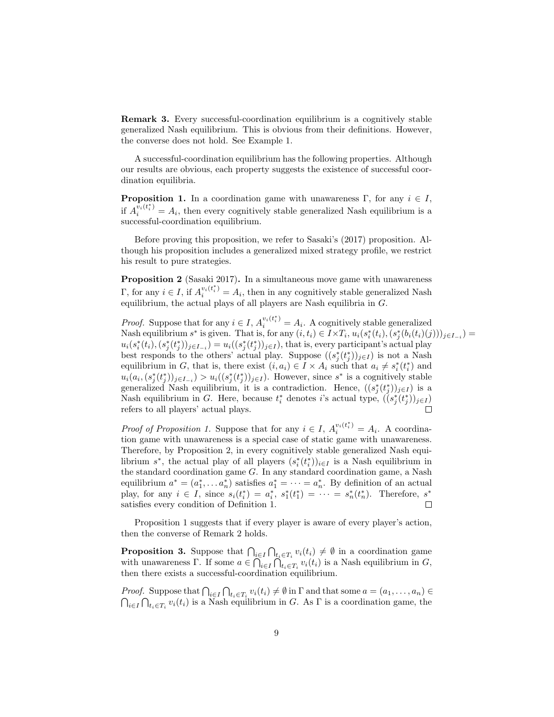**Remark 3.** Every successful-coordination equilibrium is a cognitively stable generalized Nash equilibrium. This is obvious from their definitions. However, the converse does not hold. See Example 1.

A successful-coordination equilibrium has the following properties. Although our results are obvious, each property suggests the existence of successful coordination equilibria.

**Proposition 1.** In a coordination game with unawareness Γ, for any  $i \in I$ , if  $A_i^{v_i(t_i^*)} = A_i$ , then every cognitively stable generalized Nash equilibrium is a successful-coordination equilibrium.

Before proving this proposition, we refer to Sasaki's (2017) proposition. Although his proposition includes a generalized mixed strategy profile, we restrict his result to pure strategies.

**Proposition 2** (Sasaki 2017). In a simultaneous move game with unawareness Γ, for any  $i \in I$ , if  $A_i^{v_i(t_i^*)} = A_i$ , then in any cognitively stable generalized Nash equilibrium, the actual plays of all players are Nash equilibria in *G*.

*Proof.* Suppose that for any  $i \in I$ ,  $A_i^{v_i(t_i^*)} = A_i$ . A cognitively stable generalized Nash equilibrium  $s^*$  is given. That is, for any  $(i, t_i) \in I \times T_i$ ,  $u_i(s_i^*(t_i), (s_j^*(b_i(t_i)(j)))_{j \in I_{-i}})$  $u_i(s_i^*(t_i), (s_j^*(t_j^*))_{j\in I_{-i}}) = u_i((s_j^*(t_j^*))_{j\in I}),$  that is, every participant's actual play best responds to the others' actual play. Suppose  $((s_j^*(t_j^*))_{j\in I})$  is not a Nash equilibrium in *G*, that is, there exist  $(i, a_i) \in I \times A_i$  such that  $a_i \neq s_i^*(t_i^*)$  and  $u_i(a_i, (s_j^*(t_j^*))_{j\in I_{-i}}) > u_i((s_j^*(t_j^*))_{j\in I})$ . However, since  $s^*$  is a cognitively stable generalized Nash equilibrium, it is a contradiction. Hence,  $((s_j^*(t_j^*))_{j\in I})$  is a Nash equilibrium in *G*. Here, because  $t_i^*$  denotes *i*'s actual type,  $((s_j^*(t_j^*))_{j\in I})$ refers to all players' actual plays.

*Proof of Proposition 1.* Suppose that for any  $i \in I$ ,  $A_i^{v_i(t_i^*)} = A_i$ . A coordination game with unawareness is a special case of static game with unawareness. Therefore, by Proposition 2, in every cognitively stable generalized Nash equilibrium  $s^*$ , the actual play of all players  $(s_i^*(t_i^*))_{i \in I}$  is a Nash equilibrium in the standard coordination game *G*. In any standard coordination game, a Nash equilibrium  $a^* = (a_1^*, \ldots a_n^*)$  satisfies  $a_1^* = \cdots = a_n^*$ . By definition of an actual play, for any  $i \in I$ , since  $s_i(t_i^*) = a_i^*$ ,  $s_1^*(t_1^*) = \cdots = s_n^*(t_n^*)$ . Therefore,  $s^*$ satisfies every condition of Definition 1.  $\Box$ 

Proposition 1 suggests that if every player is aware of every player's action, then the converse of Remark 2 holds.

**Proposition 3.** Suppose that  $\bigcap_{i \in I} \bigcap_{t_i \in T_i} v_i(t_i) \neq \emptyset$  in a coordination game with unawareness  $\Gamma$ . If some  $a \in \bigcap_{i \in I} \bigcap_{t_i \in T_i} v_i(t_i)$  is a Nash equilibrium in *G*, then there exists a successful-coordination equilibrium.

*Proof.* Suppose that  $\bigcap_{i\in I}\bigcap_{t_i\in T_i}v_i(t_i)\neq\emptyset$  in  $\Gamma$  and that some  $a=(a_1,\ldots,a_n)\in\mathbb{C}$  $\bigcap_{i\in I}\bigcap_{t_i\in T_i}v_i(t_i)$  is a Nash equilibrium in *G*. As  $\Gamma$  is a coordination game, the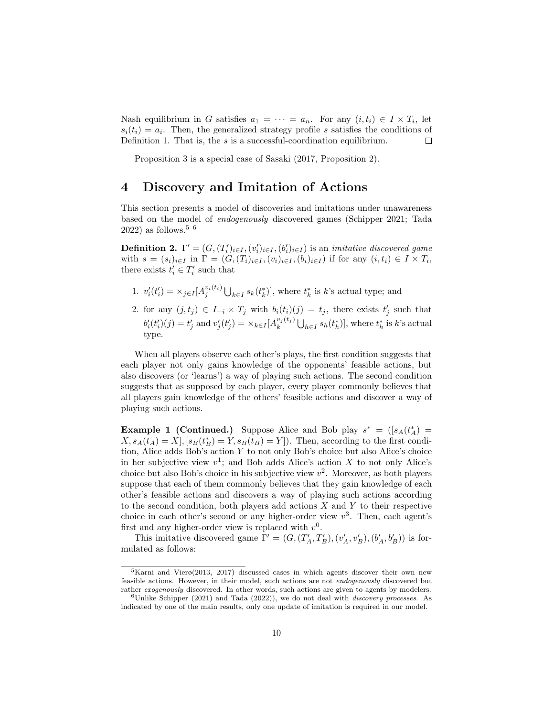Nash equilibrium in *G* satisfies  $a_1 = \cdots = a_n$ . For any  $(i, t_i) \in I \times T_i$ , let  $s_i(t_i) = a_i$ . Then, the generalized strategy profile *s* satisfies the conditions of Definition 1. That is, the *s* is a successful-coordination equilibrium.  $\Box$ 

Proposition 3 is a special case of Sasaki (2017, Proposition 2).

#### **4 Discovery and Imitation of Actions**

This section presents a model of discoveries and imitations under unawareness based on the model of *endogenously* discovered games (Schipper 2021; Tada  $2022$ ) as follows.<sup>5 6</sup>

**Definition 2.**  $\Gamma' = (G, (T'_i)_{i \in I}, (v'_i)_{i \in I}, (b'_i)_{i \in I})$  is an *imitative discovered game* with  $s = (s_i)_{i \in I}$  in  $\Gamma = (G, (T_i)_{i \in I}, (v_i)_{i \in I}, (b_i)_{i \in I})$  if for any  $(i, t_i) \in I \times T_i$ , there exists  $t'_{i} \in T'_{i}$  such that

- 1.  $v'_{i}(t'_{i}) = \times_{j \in I} [A_{j}^{v_{i}(t_{i})} \bigcup_{k \in I} s_{k}(t^{*}_{k})],$  where  $t^{*}_{k}$  is k's actual type; and
- 2. for any  $(j, t_j) \in I_{-i} \times T_j$  with  $b_i(t_i)(j) = t_j$ , there exists  $t'_j$  such that  $b'_i(t'_i)(j) = t'_j$  and  $v'_j(t'_j) = \times_{k \in I} [A_k^{v_j(t_j)} \bigcup_{h \in I} s_h(t_h^*)]$ , where  $t_h^*$  is k's actual type.

When all players observe each other's plays, the first condition suggests that each player not only gains knowledge of the opponents' feasible actions, but also discovers (or 'learns') a way of playing such actions. The second condition suggests that as supposed by each player, every player commonly believes that all players gain knowledge of the others' feasible actions and discover a way of playing such actions.

**Example 1 (Continued.)** Suppose Alice and Bob play  $s^* = (s_A(t_A^*))$  $X, s_A(t_A) = X$ ,  $[s_B(t_B^*) = Y, s_B(t_B) = Y]$ . Then, according to the first condition, Alice adds Bob's action *Y* to not only Bob's choice but also Alice's choice in her subjective view  $v^1$ ; and Bob adds Alice's action *X* to not only Alice's choice but also Bob's choice in his subjective view *v* 2 . Moreover, as both players suppose that each of them commonly believes that they gain knowledge of each other's feasible actions and discovers a way of playing such actions according to the second condition, both players add actions *X* and *Y* to their respective choice in each other's second or any higher-order view  $v^3$ . Then, each agent's first and any higher-order view is replaced with  $v^0$ .

This imitative discovered game  $\Gamma' = (G, (T'_A, T'_B), (v'_A, v'_B), (b'_A, b'_B))$  is formulated as follows:

 $5$ Karni and Vierø(2013, 2017) discussed cases in which agents discover their own new feasible actions. However, in their model, such actions are not *endogenously* discovered but rather *exogenously* discovered. In other words, such actions are given to agents by modelers.

<sup>6</sup>Unlike Schipper (2021) and Tada (2022)), we do not deal with *discovery processes*. As indicated by one of the main results, only one update of imitation is required in our model.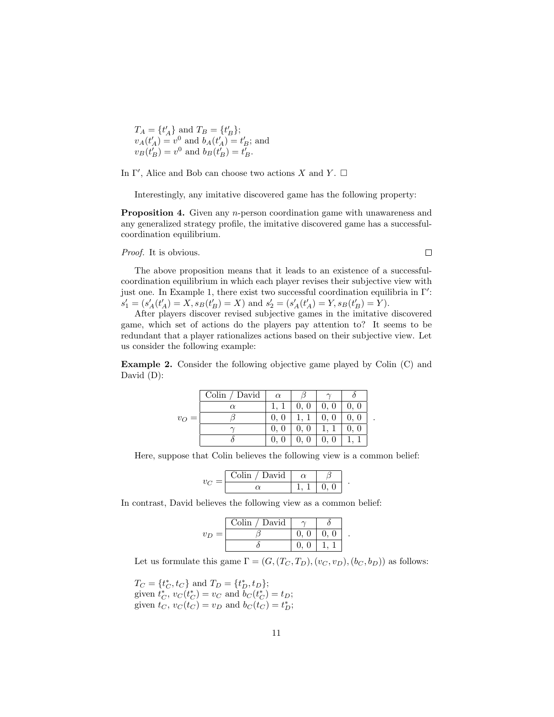$T_A = \{t'_A\}$  and  $T_B = \{t'_B\}$ ;  $v_A(t'_A) = v^0$  and  $b_A(t'_A) = t'_B$ ; and  $v_B(t'_B) = v^0$  and  $b_B(t'_B) = t'_B$ .

In  $\Gamma'$ , Alice and Bob can choose two actions *X* and *Y*.  $\Box$ 

Interestingly, any imitative discovered game has the following property:

**Proposition 4.** Given any *n*-person coordination game with unawareness and any generalized strategy profile, the imitative discovered game has a successfulcoordination equilibrium.

*Proof.* It is obvious.

The above proposition means that it leads to an existence of a successfulcoordination equilibrium in which each player revises their subjective view with just one. In Example 1, there exist two successful coordination equilibria in Γ*′* :  $s'_1 = (s'_A(t'_A) = X, s_B(t'_B) = X)$  and  $s'_2 = (s'_A(t'_A) = Y, s_B(t'_B) = Y)$ .

After players discover revised subjective games in the imitative discovered game, which set of actions do the players pay attention to? It seems to be redundant that a player rationalizes actions based on their subjective view. Let us consider the following example:

**Example 2.** Consider the following objective game played by Colin (C) and David (D):

|         | Colin / David | $\alpha$ |      |      |      |
|---------|---------------|----------|------|------|------|
|         | $\alpha$      |          | 0, 0 | 0, 0 | 0, 0 |
| $v_O =$ |               | $0$ ,    |      | 0, 0 | 0, 0 |
|         |               | $0$ ,    | 0, 0 |      | 0, 0 |
|         |               |          |      |      |      |

Here, suppose that Colin believes the following view is a common belief:

|  | $\lambda$<br>/ Davi |  |  |
|--|---------------------|--|--|
|  |                     |  |  |

In contrast, David believes the following view as a common belief:

|                          | Colin / David |      |      |  |
|--------------------------|---------------|------|------|--|
| $\overline{\phantom{0}}$ |               | 0. 0 | 0. 0 |  |
|                          |               |      |      |  |

Let us formulate this game  $\Gamma = (G, (T_C, T_D), (v_C, v_D), (b_C, b_D))$  as follows:

 $T_C = \{t_C^*, t_C\}$  and  $T_D = \{t_D^*, t_D\}$ ; given  $t_C^*$ ,  $v_C(t_C^*) = v_C$  and  $b_C(t_C^*) = t_D$ ; given  $t_C$ ,  $v_C(t_C) = v_D$  and  $b_C(t_C) = t_D^*$ ;  $\Box$ 

*.*

*.*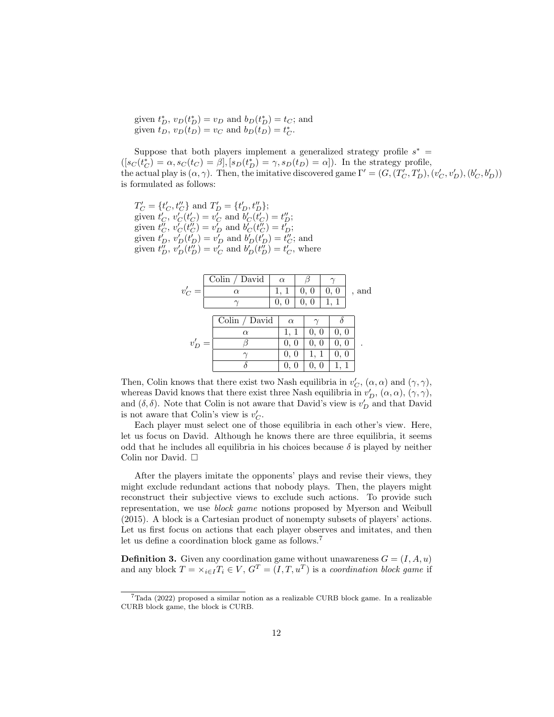given  $t_D^*$ ,  $v_D(t_D^*) = v_D$  and  $b_D(t_D^*) = t_C$ ; and given  $t_D$ ,  $v_D(t_D) = v_C$  and  $b_D(t_D) = t_C^*$ .

Suppose that both players implement a generalized strategy profile  $s^* =$  $([s_C(t_C^*) = \alpha, s_C(t_C) = \beta], [s_D(t_D^*) = \gamma, s_D(t_D) = \alpha]).$  In the strategy profile, the actual play is  $(\alpha, \gamma)$ . Then, the imitative discovered game  $\Gamma' = (G, (T'_C, T'_D), (v'_C, v'_D), (b'_C, b'_D))$ is formulated as follows:

 $T'_{C} = \{t'_{C}, t''_{C}\}$  and  $T'_{D} = \{t'_{D}, t''_{D}\};$ given  $t'_{C}$ ,  $v'_{C}(t'_{C}) = v'_{C}$  and  $b'_{C}(t'_{C}) = t''_{D}$ ; given  $t''_C$ ,  $v'_C(t''_C) = v'_D$  and  $b'_C(t''_C) = t'_D$ ; given  $t'_{D}$ ,  $v'_{D}(t'_{D}) = v'_{D}$  and  $b'_{D}(t'_{D}) = t''_{C}$ ; and given  $t''_D$ ,  $v'_D(t''_D) = v'_C$  and  $b'_D(t''_D) = t'_C$ , where

|        |  | Colin $/$ David | $\alpha$ |          |      |  |      |  |       |
|--------|--|-----------------|----------|----------|------|--|------|--|-------|
| $v_C'$ |  | $\alpha$        |          | 1, 1     | 0, 0 |  | 0, 0 |  | , and |
|        |  |                 |          | 0, 0     | 0, 0 |  | 1, 1 |  |       |
|        |  |                 |          |          |      |  |      |  |       |
|        |  | Colin / David   |          | $\alpha$ |      |  |      |  |       |
|        |  | $\alpha$        |          | 1, 1     | 0, 0 |  | 0, 0 |  |       |
| $v_D'$ |  |                 |          | 0, 0     | 0, 0 |  | 0, 0 |  |       |
|        |  |                 |          | 0, 0     |      |  | 0, 0 |  |       |
|        |  |                 |          |          |      |  |      |  |       |

Then, Colin knows that there exist two Nash equilibria in  $v'_{C}$ ,  $(\alpha, \alpha)$  and  $(\gamma, \gamma)$ , whereas David knows that there exist three Nash equilibria in  $v'_D$ ,  $(\alpha, \alpha)$ ,  $(\gamma, \gamma)$ , and  $(\delta, \delta)$ . Note that Colin is not aware that David's view is  $v'_D$  and that David is not aware that Colin's view is  $v'_{C}$ .

Each player must select one of those equilibria in each other's view. Here, let us focus on David. Although he knows there are three equilibria, it seems odd that he includes all equilibria in his choices because  $\delta$  is played by neither Colin nor David. □

After the players imitate the opponents' plays and revise their views, they might exclude redundant actions that nobody plays. Then, the players might reconstruct their subjective views to exclude such actions. To provide such representation, we use *block game* notions proposed by Myerson and Weibull (2015). A block is a Cartesian product of nonempty subsets of players' actions. Let us first focus on actions that each player observes and imitates, and then let us define a coordination block game as follows.<sup>7</sup>

**Definition 3.** Given any coordination game without unawareness  $G = (I, A, u)$ and any block  $T = \times_{i \in I} T_i \in V$ ,  $G^T = (I, T, u^T)$  is a *coordination block game* if

<sup>7</sup>Tada (2022) proposed a similar notion as a realizable CURB block game. In a realizable CURB block game, the block is CURB.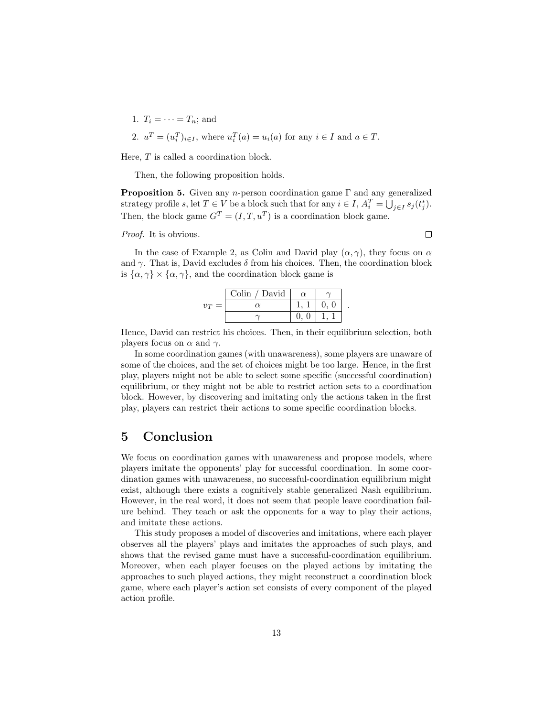1. 
$$
T_i = \cdots = T_n
$$
; and  
2.  $u^T = (u_i^T)_{i \in I}$ , where  $u_i^T(a) = u_i(a)$  for any  $i \in I$  and  $a \in T$ .

Here, *T* is called a coordination block.

Then, the following proposition holds.

**Proposition 5.** Given any *n*-person coordination game Γ and any generalized strategy profile *s*, let  $T \in V$  be a block such that for any  $i \in I$ ,  $A_i^T = \bigcup_{j \in I} s_j(t_j^*)$ . Then, the block game  $G<sup>T</sup> = (I, T, u<sup>T</sup>)$  is a coordination block game.

*Proof.* It is obvious.

In the case of Example 2, as Colin and David play  $(\alpha, \gamma)$ , they focus on  $\alpha$ and  $\gamma$ . That is, David excludes  $\delta$  from his choices. Then, the coordination block is  $\{\alpha, \gamma\} \times \{\alpha, \gamma\}$ , and the coordination block game is

|                | Colin / David |  |  |
|----------------|---------------|--|--|
| $v_{T}$<br>$=$ | rν            |  |  |
|                |               |  |  |

Hence, David can restrict his choices. Then, in their equilibrium selection, both players focus on  $\alpha$  and  $\gamma$ .

In some coordination games (with unawareness), some players are unaware of some of the choices, and the set of choices might be too large. Hence, in the first play, players might not be able to select some specific (successful coordination) equilibrium, or they might not be able to restrict action sets to a coordination block. However, by discovering and imitating only the actions taken in the first play, players can restrict their actions to some specific coordination blocks.

### **5 Conclusion**

We focus on coordination games with unawareness and propose models, where players imitate the opponents' play for successful coordination. In some coordination games with unawareness, no successful-coordination equilibrium might exist, although there exists a cognitively stable generalized Nash equilibrium. However, in the real word, it does not seem that people leave coordination failure behind. They teach or ask the opponents for a way to play their actions, and imitate these actions.

This study proposes a model of discoveries and imitations, where each player observes all the players' plays and imitates the approaches of such plays, and shows that the revised game must have a successful-coordination equilibrium. Moreover, when each player focuses on the played actions by imitating the approaches to such played actions, they might reconstruct a coordination block game, where each player's action set consists of every component of the played action profile.

 $\Box$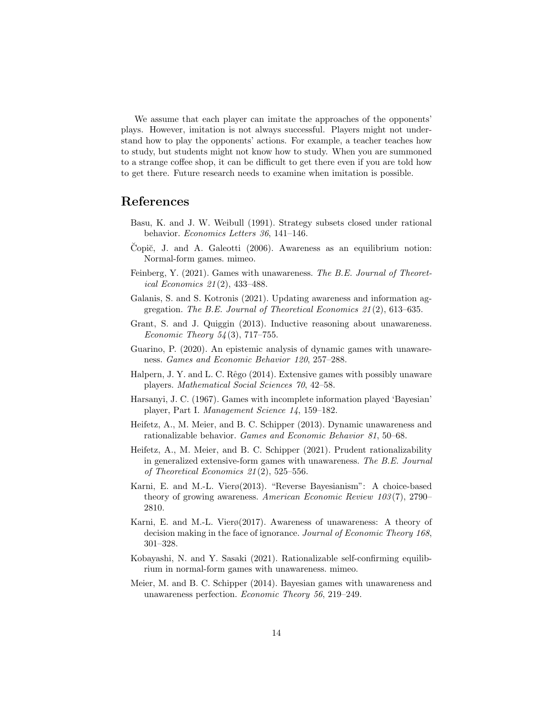We assume that each player can imitate the approaches of the opponents' plays. However, imitation is not always successful. Players might not understand how to play the opponents' actions. For example, a teacher teaches how to study, but students might not know how to study. When you are summoned to a strange coffee shop, it can be difficult to get there even if you are told how to get there. Future research needs to examine when imitation is possible.

#### **References**

- Basu, K. and J. W. Weibull (1991). Strategy subsets closed under rational behavior. *Economics Letters 36*, 141–146.
- Čopič, J. and A. Galeotti (2006). Awareness as an equilibrium notion: Normal-form games. mimeo.
- Feinberg, Y. (2021). Games with unawareness. *The B.E. Journal of Theoretical Economics 21* (2), 433–488.
- Galanis, S. and S. Kotronis (2021). Updating awareness and information aggregation. *The B.E. Journal of Theoretical Economics 21* (2), 613–635.
- Grant, S. and J. Quiggin (2013). Inductive reasoning about unawareness. *Economic Theory 54* (3), 717–755.
- Guarino, P. (2020). An epistemic analysis of dynamic games with unawareness. *Games and Economic Behavior 120*, 257–288.
- Halpern, J. Y. and L. C. Rêgo (2014). Extensive games with possibly unaware players. *Mathematical Social Sciences 70*, 42–58.
- Harsanyi, J. C. (1967). Games with incomplete information played 'Bayesian' player, Part I. *Management Science 14*, 159–182.
- Heifetz, A., M. Meier, and B. C. Schipper (2013). Dynamic unawareness and rationalizable behavior. *Games and Economic Behavior 81*, 50–68.
- Heifetz, A., M. Meier, and B. C. Schipper (2021). Prudent rationalizability in generalized extensive-form games with unawareness. *The B.E. Journal of Theoretical Economics 21* (2), 525–556.
- Karni, E. and M.-L. Vierø(2013). "Reverse Bayesianism": A choice-based theory of growing awareness. *American Economic Review 103* (7), 2790– 2810.
- Karni, E. and M.-L. Vierø(2017). Awareness of unawareness: A theory of decision making in the face of ignorance. *Journal of Economic Theory 168*, 301–328.
- Kobayashi, N. and Y. Sasaki (2021). Rationalizable self-confirming equilibrium in normal-form games with unawareness. mimeo.
- Meier, M. and B. C. Schipper (2014). Bayesian games with unawareness and unawareness perfection. *Economic Theory 56*, 219–249.